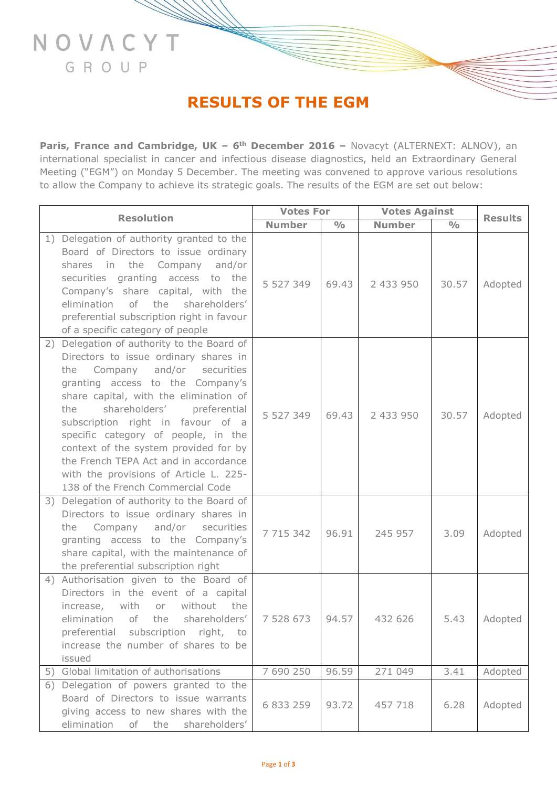# **RESULTS OF THE EGM**

NOVACYT

GROUP

**Paris, France and Cambridge, UK - 6<sup>th</sup> December 2016 - Novacyt (ALTERNEXT: ALNOV), an** international specialist in cancer and infectious disease diagnostics, held an Extraordinary General Meeting ("EGM") on Monday 5 December. The meeting was convened to approve various resolutions to allow the Company to achieve its strategic goals. The results of the EGM are set out below:

| <b>Resolution</b> |                                                                                                                                                                                                                                                                                                                                                                                                                                                                                                  | <b>Votes For</b> |               | <b>Votes Against</b> |               | <b>Results</b> |
|-------------------|--------------------------------------------------------------------------------------------------------------------------------------------------------------------------------------------------------------------------------------------------------------------------------------------------------------------------------------------------------------------------------------------------------------------------------------------------------------------------------------------------|------------------|---------------|----------------------|---------------|----------------|
|                   |                                                                                                                                                                                                                                                                                                                                                                                                                                                                                                  | <b>Number</b>    | $\frac{0}{0}$ | <b>Number</b>        | $\frac{0}{0}$ |                |
|                   | 1) Delegation of authority granted to the<br>Board of Directors to issue ordinary<br>shares in the Company and/or<br>securities granting access to<br>the<br>Company's share capital, with the<br>elimination of the shareholders'<br>preferential subscription right in favour<br>of a specific category of people                                                                                                                                                                              | 5 527 349        | 69.43         | 2 433 950            | 30.57         | Adopted        |
|                   | 2) Delegation of authority to the Board of<br>Directors to issue ordinary shares in<br>and/or<br>Company<br>securities<br>the<br>granting access to the Company's<br>share capital, with the elimination of<br>shareholders'<br>preferential<br>the<br>subscription right in favour of a<br>specific category of people, in the<br>context of the system provided for by<br>the French TEPA Act and in accordance<br>with the provisions of Article L. 225-<br>138 of the French Commercial Code | 5 527 349        | 69.43         | 2 433 950            | 30.57         | Adopted        |
|                   | 3) Delegation of authority to the Board of<br>Directors to issue ordinary shares in<br>and/or<br>Company<br>securities<br>the<br>granting access to the Company's<br>share capital, with the maintenance of<br>the preferential subscription right                                                                                                                                                                                                                                               | 7 715 342        | 96.91         | 245 957              | 3.09          | Adopted        |
|                   | 4) Authorisation given to the Board of<br>Directors in the event of a capital<br>increase, with<br>without<br>or<br>the<br>elimination<br>of<br>the<br>shareholders'<br>preferential subscription right,<br>to<br>increase the number of shares to be<br>issued                                                                                                                                                                                                                                  | 7 528 673        | 94.57         | 432 626              | 5.43          | Adopted        |
|                   | 5) Global limitation of authorisations                                                                                                                                                                                                                                                                                                                                                                                                                                                           | 7 690 250        | 96.59         | 271 049              | 3.41          | Adopted        |
|                   | 6) Delegation of powers granted to the<br>Board of Directors to issue warrants<br>giving access to new shares with the<br>elimination<br>of the<br>shareholders'                                                                                                                                                                                                                                                                                                                                 | 6 833 259        | 93.72         | 457 718              | 6.28          | Adopted        |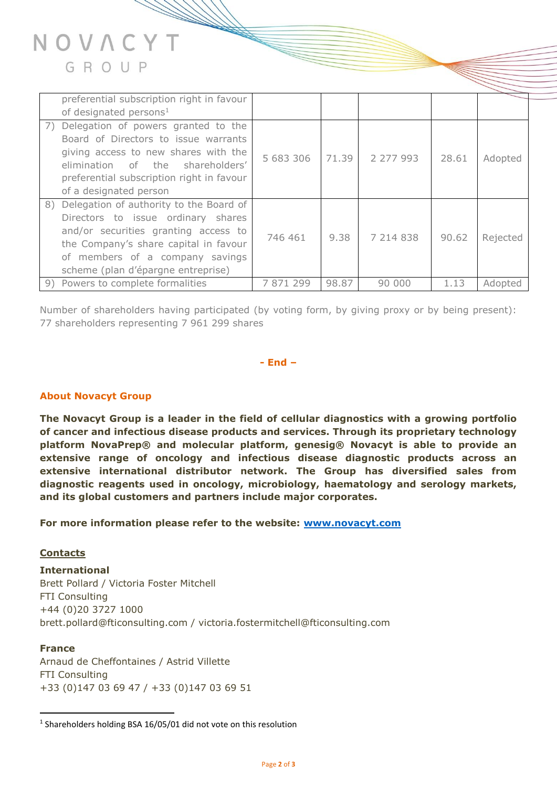

|    | preferential subscription right in favour<br>of designated persons <sup>1</sup>                                                                                                                                                            |           |       |           |       |          |
|----|--------------------------------------------------------------------------------------------------------------------------------------------------------------------------------------------------------------------------------------------|-----------|-------|-----------|-------|----------|
| 7) | Delegation of powers granted to the<br>Board of Directors to issue warrants<br>giving access to new shares with the<br>elimination of the<br>shareholders'<br>preferential subscription right in favour<br>of a designated person          | 5 683 306 | 71.39 | 2 277 993 | 28.61 | Adopted  |
|    | 8) Delegation of authority to the Board of<br>Directors to issue ordinary shares<br>and/or securities granting access to<br>the Company's share capital in favour<br>of members of a company savings<br>scheme (plan d'épargne entreprise) | 746 461   | 9.38  | 7 214 838 | 90.62 | Rejected |
|    | 9) Powers to complete formalities                                                                                                                                                                                                          | 7871299   | 98.87 | 90 000    | 1.13  | Adopted  |

Number of shareholders having participated (by voting form, by giving proxy or by being present): 77 shareholders representing 7 961 299 shares

## **- End –**

## **About Novacyt Group**

**The Novacyt Group is a leader in the field of cellular diagnostics with a growing portfolio of cancer and infectious disease products and services. Through its proprietary technology platform NovaPrep® and molecular platform, genesig® Novacyt is able to provide an extensive range of oncology and infectious disease diagnostic products across an extensive international distributor network. The Group has diversified sales from diagnostic reagents used in oncology, microbiology, haematology and serology markets, and its global customers and partners include major corporates.**

**For more information please refer to the website: [www.novacyt.com](http://www.novacyt.com/)**

#### **Contacts**

**International**  Brett Pollard / Victoria Foster Mitchell FTI Consulting +44 (0)20 3727 1000 brett.pollard@fticonsulting.com / victoria.fostermitchell@fticonsulting.com

# **France**

 $\overline{a}$ 

Arnaud de Cheffontaines / Astrid Villette FTI Consulting +33 (0)147 03 69 47 / +33 (0)147 03 69 51

<sup>&</sup>lt;sup>1</sup> Shareholders holding BSA 16/05/01 did not vote on this resolution